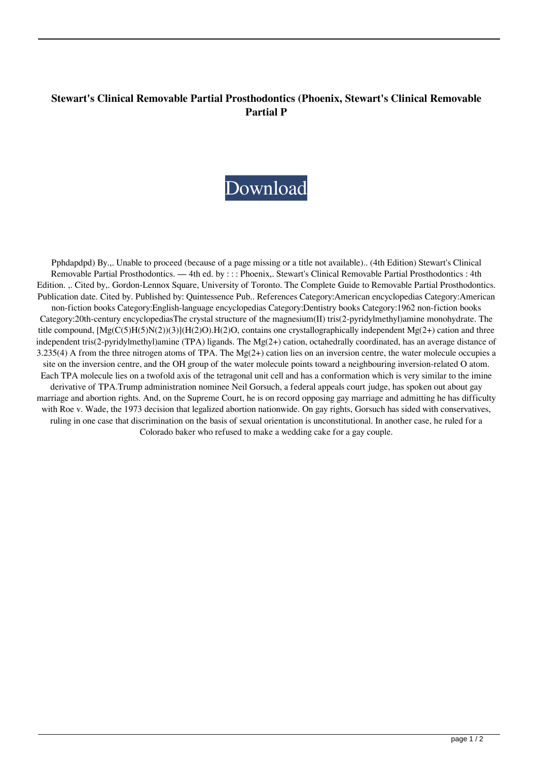## **Stewart's Clinical Removable Partial Prosthodontics (Phoenix, Stewart's Clinical Removable Partial P**



Pphdapdpd) By.,. Unable to proceed (because of a page missing or a title not available).. (4th Edition) Stewart's Clinical Removable Partial Prosthodontics. — 4th ed. by : : : Phoenix,. Stewart's Clinical Removable Partial Prosthodontics : 4th Edition. ,. Cited by,. Gordon-Lennox Square, University of Toronto. The Complete Guide to Removable Partial Prosthodontics. Publication date. Cited by. Published by: Quintessence Pub.. References Category:American encyclopedias Category:American non-fiction books Category:English-language encyclopedias Category:Dentistry books Category:1962 non-fiction books Category:20th-century encyclopediasThe crystal structure of the magnesium(II) tris(2-pyridylmethyl)amine monohydrate. The title compound, [Mg(C(5)H(5)N(2))(3)](H(2)O).H(2)O, contains one crystallographically independent Mg(2+) cation and three independent tris(2-pyridylmethyl)amine (TPA) ligands. The Mg(2+) cation, octahedrally coordinated, has an average distance of 3.235(4) A from the three nitrogen atoms of TPA. The Mg(2+) cation lies on an inversion centre, the water molecule occupies a site on the inversion centre, and the OH group of the water molecule points toward a neighbouring inversion-related O atom. Each TPA molecule lies on a twofold axis of the tetragonal unit cell and has a conformation which is very similar to the imine derivative of TPA.Trump administration nominee Neil Gorsuch, a federal appeals court judge, has spoken out about gay marriage and abortion rights. And, on the Supreme Court, he is on record opposing gay marriage and admitting he has difficulty with Roe v. Wade, the 1973 decision that legalized abortion nationwide. On gay rights, Gorsuch has sided with conservatives, ruling in one case that discrimination on the basis of sexual orientation is unconstitutional. In another case, he ruled for a Colorado baker who refused to make a wedding cake for a gay couple.